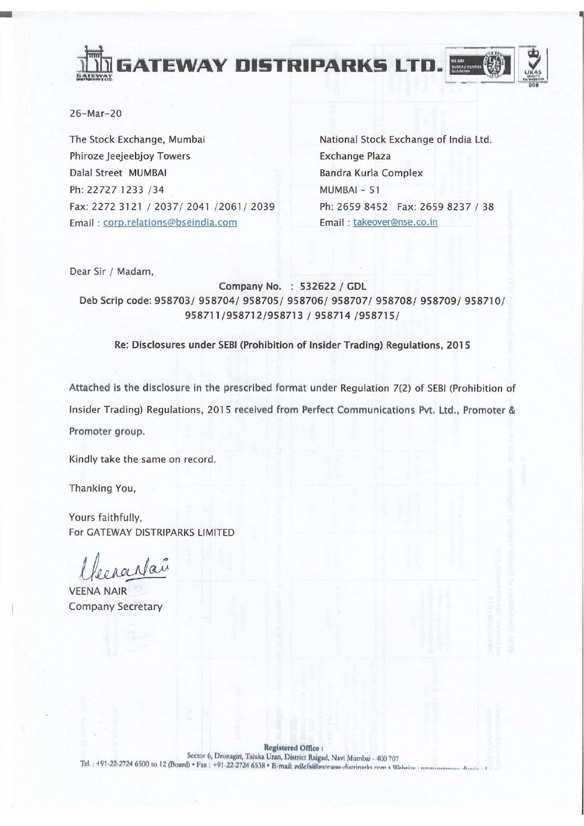



 $26 - Mar - 20$ 

The Stock Exchange, Mumbai Phiroze Jeejeebjoy Towers Dalal Street MUMBAI Ph: 22727 1233 /34 Fax: 2272 3121 / 2037/ 2041 /2061/ 2039 Email: corp.relations@bseindia.com

National Stock Exchange of India Ltd. **Exchange Plaza Bandra Kurla Complex**  $MUMBAI - 51$ Ph: 2659 8452 Fax: 2659 8237 / 38 Email: takeover@nse.co.in

Dear Sir / Madam,

Company No. : 532622 / GDL Deb Scrip code: 958703/958704/958705/958706/958707/958708/958709/958710/ 958711/958712/958713 / 958714 /958715/

Re: Disclosures under SEBI (Prohibition of Insider Trading) Regulations, 2015

Attached is the disclosure in the prescribed format under Regulation 7(2) of SEBI (Prohibition of Insider Trading) Regulations, 2015 received from Perfect Communications Pvt. Ltd., Promoter & Promoter group.

Kindly take the same on record.

Thanking You,

Yours faithfully. For GATEWAY DISTRIPARKS LIMITED

raarpai

**VEENA NAIR Company Secretary** 

Registered Office: Sector 6, Dronagiri, Taluka Uran, District Raigad, Navi Mumbai - 400 707 Tel.: +91-22-2724 6500 to 12 (Board) \* Fax: +91-22-2724 6538 \* E-mail: edlefs@eateway-distrinarks.com \* Website: ununuse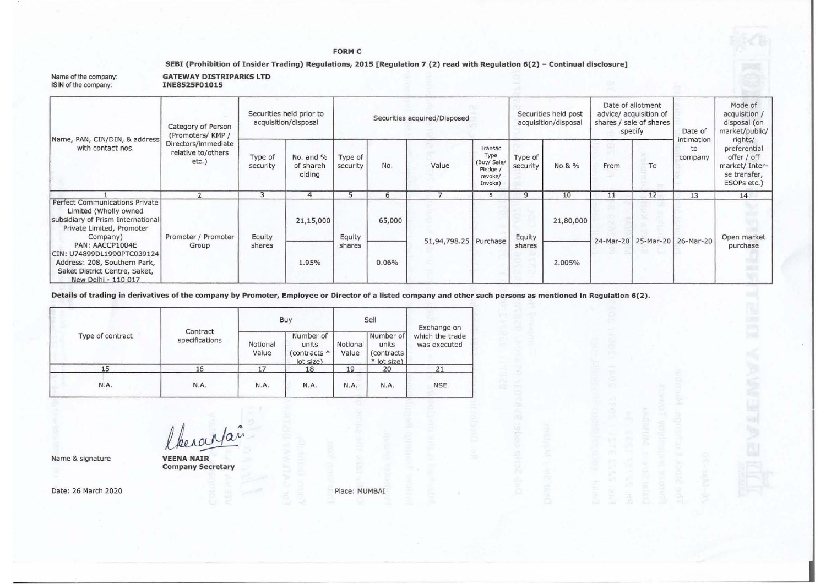#### FORM C

#### SEBI (Prohibition of Insider Trading) Regulations, 2015 [Regulation 7 (2) read with Regulation 6(2) - Continual disclosure]

| Name of the company:<br>ISIN of the company:                                                                                                                                                                                                                                   | <b>GATEWAY DISTRIPARKS LTD</b><br>INE8525F01015                                                |                                                  |                                  |                              |        |                       |                                                                  |                                              |           |                                                                                   |    |                             |                                                                                         |
|--------------------------------------------------------------------------------------------------------------------------------------------------------------------------------------------------------------------------------------------------------------------------------|------------------------------------------------------------------------------------------------|--------------------------------------------------|----------------------------------|------------------------------|--------|-----------------------|------------------------------------------------------------------|----------------------------------------------|-----------|-----------------------------------------------------------------------------------|----|-----------------------------|-----------------------------------------------------------------------------------------|
| Name, PAN, CIN/DIN, & address<br>with contact nos.                                                                                                                                                                                                                             | Category of Person<br>(Promoters/KMP/<br>Directors/immediate<br>relative to/others<br>$etc.$ ) | Securities held prior to<br>acquisition/disposal |                                  | Securities acquired/Disposed |        |                       |                                                                  | Securities held post<br>acquisition/disposal |           | Date of allotment<br>advice/ acquisition of<br>shares / sale of shares<br>specify |    | Date of                     | Mode of<br>acquisition /<br>disposal (on<br>market/public/                              |
|                                                                                                                                                                                                                                                                                |                                                                                                | Type of<br>security                              | No. and %<br>of shareh<br>olding | Type of<br>security          | No.    | Value                 | Transac<br>Type<br>(Buy/ Sale/<br>Pledge /<br>revoke/<br>Invoke) | Type of<br>security                          | No & %    | From                                                                              | To | intimation<br>to<br>company | rights/<br>preferential<br>offer / off<br>market/ Inter-<br>se transfer,<br>ESOPs etc.) |
|                                                                                                                                                                                                                                                                                | $\overline{2}$                                                                                 | 3                                                | $\overline{a}$                   | 5                            | 6      | $\mathcal{I}$         | 8                                                                | 9                                            | 10        | 11                                                                                | 12 | 13                          | 14                                                                                      |
| Perfect Communications Private<br>Limited (Wholly owned<br>subsidiary of Prism International<br>Private Limited, Promoter<br>Company)<br>PAN: AACCP1004E<br>CIN: U74899DL1990PTC039124<br>Address: 208, Southern Park,<br>Saket District Centre, Saket,<br>New Delhi - 110 017 | Promoter / Promoter                                                                            | Equity                                           | 21,15,000                        | Equity<br>shares             | 65,000 | 51,94,798.25 Purchase |                                                                  | Equity<br>shares                             | 21,80,000 | 24-Mar-20                                                                         |    | 25-Mar-20 26-Mar-20         | Open market<br>purchase                                                                 |
|                                                                                                                                                                                                                                                                                | Group                                                                                          | shares                                           | 1.95%                            |                              | 0.06%  |                       |                                                                  |                                              | 2.005%    |                                                                                   |    |                             |                                                                                         |

Details of trading in derivatives of the company by Promoter, Employee or Director of a listed company and other such persons as mentioned in Regulation 6(2).

|                  |                            |                   | Buy                                             |                   | Sell                                             | Exchange on<br>which the trade<br>was executed |  |
|------------------|----------------------------|-------------------|-------------------------------------------------|-------------------|--------------------------------------------------|------------------------------------------------|--|
| Type of contract | Contract<br>specifications | Notional<br>Value | Number of<br>units<br>(contracts *<br>lot size) | Notional<br>Value | Number of<br>units<br>(contracts)<br>* lot size) |                                                |  |
| 15               | 16                         | 17                | 18                                              | 19                | 20                                               | 21                                             |  |
| N.A.             | N.A.                       | N.A.              | N.A.                                            | N.A.              | N.A.                                             | <b>NSE</b>                                     |  |

Name & signature

 $l$ *kerantañ* 

VEENA NAIR Company Secretary

Date: 26 March 2020

Place: MUMBAJ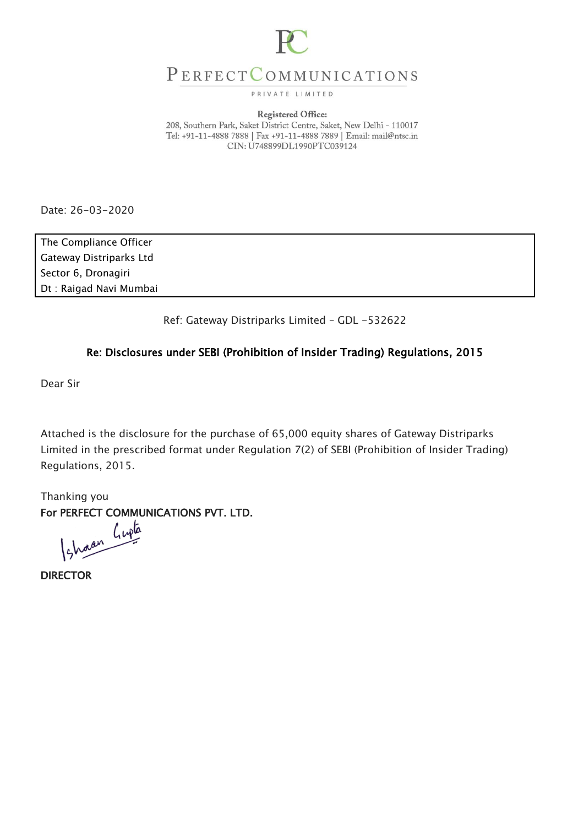

# PERFECTCOMMUNICATIONS

PRIVATE LIMITED

#### **Registered Office:**

208, Southern Park, Saket District Centre, Saket, New Delhi - 110017 Tel: +91-11-4888 7888 | Fax +91-11-4888 7889 | Email: mail@ntsc.in CIN: U748899DL1990PTC039124

Date: 26-03-2020

The Compliance Officer Gateway Distriparks Ltd Sector 6, Dronagiri Dt : Raigad Navi Mumbai

Ref: Gateway Distriparks Limited – GDL -532622

# Re: Disclosures under SEBI (Prohibition of Insider Trading) Regulations, 2015

Dear Sir

Attached is the disclosure for the purchase of 65,000 equity shares of Gateway Distriparks Limited in the prescribed format under Regulation 7(2) of SEBI (Prohibition of Insider Trading) Regulations, 2015.

Thanking you For PERFECT COMMUNICATIONS PVT. LTD.<br>(shown live

DIRECTOR